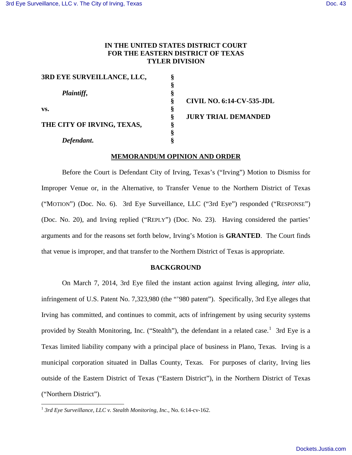# **IN THE UNITED STATES DISTRICT COURT FOR THE EASTERN DISTRICT OF TEXAS TYLER DIVISION**

| 3RD EYE SURVEILLANCE, LLC,                      |  |
|-------------------------------------------------|--|
|                                                 |  |
| Plaintiff,<br>vs.<br>THE CITY OF IRVING, TEXAS, |  |
|                                                 |  |
|                                                 |  |
|                                                 |  |
|                                                 |  |
|                                                 |  |
| Defendant.                                      |  |

 **§ CIVIL NO. 6:14-CV-535-JDL JURY TRIAL DEMANDED** 

## **MEMORANDUM OPINION AND ORDER**

Before the Court is Defendant City of Irving, Texas's ("Irving") Motion to Dismiss for Improper Venue or, in the Alternative, to Transfer Venue to the Northern District of Texas ("MOTION") (Doc. No. 6). 3rd Eye Surveillance, LLC ("3rd Eye") responded ("RESPONSE") (Doc. No. 20), and Irving replied ("REPLY") (Doc. No. 23). Having considered the parties' arguments and for the reasons set forth below, Irving's Motion is **GRANTED**. The Court finds that venue is improper, and that transfer to the Northern District of Texas is appropriate.

### **BACKGROUND**

On March 7, 2014, 3rd Eye filed the instant action against Irving alleging, *inter alia*, infringement of U.S. Patent No. 7,323,980 (the "'980 patent"). Specifically, 3rd Eye alleges that Irving has committed, and continues to commit, acts of infringement by using security systems provided by Stealth Monitoring, Inc. ("Stealth"), the defendant in a related case.<sup>[1](#page-0-0)</sup> 3rd Eye is a Texas limited liability company with a principal place of business in Plano, Texas. Irving is a municipal corporation situated in Dallas County, Texas. For purposes of clarity, Irving lies outside of the Eastern District of Texas ("Eastern District"), in the Northern District of Texas ("Northern District").

-

<span id="page-0-0"></span><sup>1</sup> *3rd Eye Surveillance, LLC v. Stealth Monitoring, Inc.*, No. 6:14-cv-162.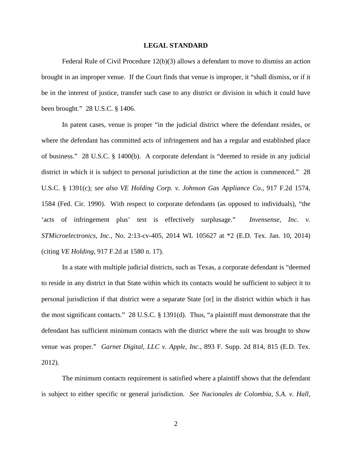#### **LEGAL STANDARD**

Federal Rule of Civil Procedure 12(b)(3) allows a defendant to move to dismiss an action brought in an improper venue. If the Court finds that venue is improper, it "shall dismiss, or if it be in the interest of justice, transfer such case to any district or division in which it could have been brought." 28 U.S.C. § 1406.

In patent cases, venue is proper "in the judicial district where the defendant resides, or where the defendant has committed acts of infringement and has a regular and established place of business." 28 U.S.C. § 1400(b). A corporate defendant is "deemed to reside in any judicial district in which it is subject to personal jurisdiction at the time the action is commenced." 28 U.S.C. § 1391(c); *see also VE Holding Corp. v. Johnson Gas Appliance Co*., 917 F.2d 1574, 1584 (Fed. Cir. 1990). With respect to corporate defendants (as opposed to individuals), "the 'acts of infringement plus' test is effectively surplusage." *Invensense, Inc. v. STMicroelectronics, Inc.*, No. 2:13-cv-405, 2014 WL 105627 at \*2 (E.D. Tex. Jan. 10, 2014) (citing *VE Holding*, 917 F.2d at 1580 n. 17).

In a state with multiple judicial districts, such as Texas, a corporate defendant is "deemed to reside in any district in that State within which its contacts would be sufficient to subject it to personal jurisdiction if that district were a separate State [or] in the district within which it has the most significant contacts." 28 U.S.C. § 1391(d). Thus, "a plaintiff must demonstrate that the defendant has sufficient minimum contacts with the district where the suit was brought to show venue was proper." *Garnet Digital, LLC v. Apple, Inc.*, 893 F. Supp. 2d 814, 815 (E.D. Tex. 2012).

The minimum contacts requirement is satisfied where a plaintiff shows that the defendant is subject to either specific or general jurisdiction. *See Nacionales de Colombia, S.A. v. Hall*,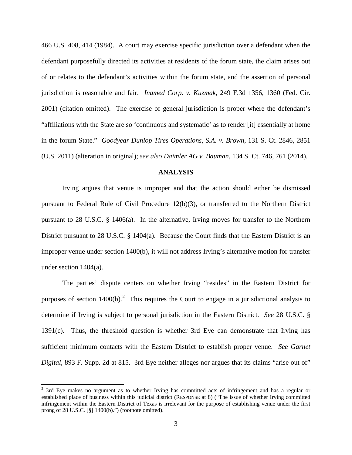466 U.S. 408, 414 (1984). A court may exercise specific jurisdiction over a defendant when the defendant purposefully directed its activities at residents of the forum state, the claim arises out of or relates to the defendant's activities within the forum state, and the assertion of personal jurisdiction is reasonable and fair. *Inamed Corp. v. Kuzmak*, 249 F.3d 1356, 1360 (Fed. Cir. 2001) (citation omitted). The exercise of general jurisdiction is proper where the defendant's "affiliations with the State are so 'continuous and systematic' as to render [it] essentially at home in the forum State." *Goodyear Dunlop Tires Operations, S.A. v. Brown*, 131 S. Ct. 2846, 2851 (U.S. 2011) (alteration in original); *see also Daimler AG v. Bauman*, 134 S. Ct. 746, 761 (2014).

### **ANALYSIS**

Irving argues that venue is improper and that the action should either be dismissed pursuant to Federal Rule of Civil Procedure 12(b)(3), or transferred to the Northern District pursuant to 28 U.S.C. § 1406(a). In the alternative, Irving moves for transfer to the Northern District pursuant to 28 U.S.C. § 1404(a). Because the Court finds that the Eastern District is an improper venue under section 1400(b), it will not address Irving's alternative motion for transfer under section 1404(a).

The parties' dispute centers on whether Irving "resides" in the Eastern District for purposes of section  $1400(b)$ .<sup>[2](#page-2-0)</sup> This requires the Court to engage in a jurisdictional analysis to determine if Irving is subject to personal jurisdiction in the Eastern District. *See* 28 U.S.C. § 1391(c). Thus, the threshold question is whether 3rd Eye can demonstrate that Irving has sufficient minimum contacts with the Eastern District to establish proper venue. *See Garnet Digital*, 893 F. Supp. 2d at 815. 3rd Eye neither alleges nor argues that its claims "arise out of"

1

<span id="page-2-0"></span> $2$  3rd Eye makes no argument as to whether Irving has committed acts of infringement and has a regular or established place of business within this judicial district (RESPONSE at 8) ("The issue of whether Irving committed infringement within the Eastern District of Texas is irrelevant for the purpose of establishing venue under the first prong of 28 U.S.C. [§] 1400(b).") (footnote omitted).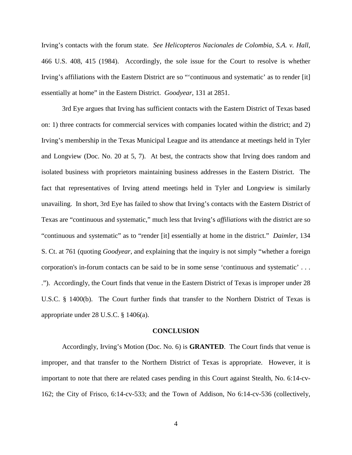Irving's contacts with the forum state. *See Helicopteros Nacionales de Colombia, S.A. v. Hall*, 466 U.S. 408, 415 (1984). Accordingly, the sole issue for the Court to resolve is whether Irving's affiliations with the Eastern District are so "'continuous and systematic' as to render [it] essentially at home" in the Eastern District. *Goodyear*, 131 at 2851.

3rd Eye argues that Irving has sufficient contacts with the Eastern District of Texas based on: 1) three contracts for commercial services with companies located within the district; and 2) Irving's membership in the Texas Municipal League and its attendance at meetings held in Tyler and Longview (Doc. No. 20 at 5, 7). At best, the contracts show that Irving does random and isolated business with proprietors maintaining business addresses in the Eastern District. The fact that representatives of Irving attend meetings held in Tyler and Longview is similarly unavailing. In short, 3rd Eye has failed to show that Irving's contacts with the Eastern District of Texas are "continuous and systematic," much less that Irving's *affiliations* with the district are so "continuous and systematic" as to "render [it] essentially at home in the district." *Daimler*, 134 S. Ct. at 761 (quoting *Goodyear*, and explaining that the inquiry is not simply "whether a foreign corporation's in-forum contacts can be said to be in some sense 'continuous and systematic' . . . ."). Accordingly, the Court finds that venue in the Eastern District of Texas is improper under 28 U.S.C. § 1400(b). The Court further finds that transfer to the Northern District of Texas is appropriate under 28 U.S.C. § 1406(a).

#### **CONCLUSION**

Accordingly, Irving's Motion (Doc. No. 6) is **GRANTED**. The Court finds that venue is improper, and that transfer to the Northern District of Texas is appropriate. However, it is important to note that there are related cases pending in this Court against Stealth, No. 6:14-cv-162; the City of Frisco, 6:14-cv-533; and the Town of Addison, No 6:14-cv-536 (collectively,